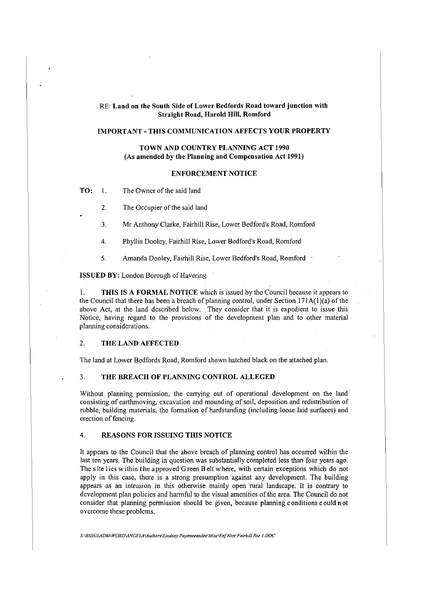# RE: **Land on the South Side of Lower Bedfords Road toward junction with Straight Road, Harold Hill, Romford**

# **IMPORTANT-THIS COMMUNICATION AFFECTS YOUR PROPERTY**

## **TOWN AND COUNTRY PLANNING ACT 1990** (As **amended by the Planning and Compensation Act 1991)**

#### **ENFORCEMENT NOTICE**

**TO:** I. The Owner of the said land

2. The Occupier of the said land

3. Mr Anthony Clarke, Fairhill Rise, Lower Bedford's Road, Romford

4. Phyllis Dooley, Fairhill Rise, Lower Bedford's Road, Romford

5. Amanda Dooley, Fairhill Rise, Lower Bedford's Road, Romford

**ISSUED BY:** London Borough of Havering

I. **THIS IS A FORMAL NOTICE** which is issued by the Council because it appears to the Council that there has been a breach of planning control, under Section  $171A(1)(a)$  of the above Act, at the land described below. They consider that it is expedient to issue this Notice, having regard to the provisions of the development plan and to other material planning considerations.

### 2. **THE LAND AFFECTED**

The land at Lower Bedfords Road, Romford shown hatched black on the attached plan.

#### 3. **THE BREACH OF PLANNING CONTROL ALLEGED**

Without planning permission, the carrying out of operational development on the land consisting of earthmoving, excavation and mounding of soil, deposition and redistribution of rubble, building materials, the formation of hardstanding (including loose laid surfaces) and erection of fencing.

# 4. **REASONS FOR ISSUING THIS NOTICE**

It appears to the Council that the above breach of planning control has occurred within the last ten years. The building in question was substantially completed less than four years ago. The site 1 ies within the approved Green Belt where, with certain exceptions which do not apply in this case, there is a strong presumption against any development. The building appears as an intrusion in this otherwise mainly open rural landscape. It is contrary to development plan policies and harmful to the visual amenities of the area. The Council do not consider that planning permission should be given, because planning conditions could not overcome these problems.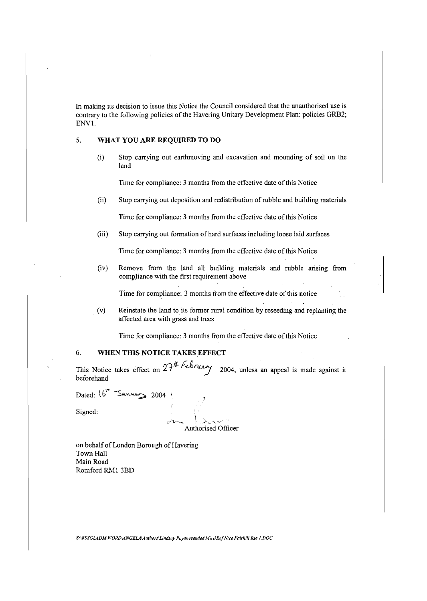In making its decision to issue this Notice the Council considered that the unauthorised use is contrary to the following policies of the Havering Unitary Development Plan: policies GRB2; ENVI.

## 5. **WHAT YOU ARE REQUIRED TO DO**

(i) Stop carrying out earthmoving and excavation and mounding of soil on the land

Time for compliance: 3 months from the effective date of this Notice

(ii) Stop carrying out deposition and redistribution of rubble and building materials

Time for compliance: 3 months from the effective date of this Notice

(iii) Stop carrying out formation of hard surfaces including loose laid surfaces

Time for compliance: 3 months from the effective date of this Notice

(iv) Remove from the land all building materials and rubble arising from compliance with the first requirement above

Time for compliance: 3 months from the effective date of this notice

(v) Reinstate the land to its former rural condition by reseeding and replanting the affected area with grass and trees

Time for compliance: 3 months from the effective date of this Notice

# 6. **WHEN THIS NOTICE TAKES EFFECT**

This Notice takes effect on  $27^{th}$  *f* context 2004, unless an appeal is made against it beforehand

Dated:  $16^{\pi}$  Sannes 2004 ;

Signed:

' -J·t,...····~ . ··•'"~\..-- ·.,\_ *"/* 

Authorised Officer

on behalf of London Borough of Havering Town Hall Main Road Romford RM1 3BD

*S:\BSSGLADM\WORD\ANGELA\Authors\Lindsay Payaneeandee\Misc\Enf Ntce Fairhill Rse I.DOC*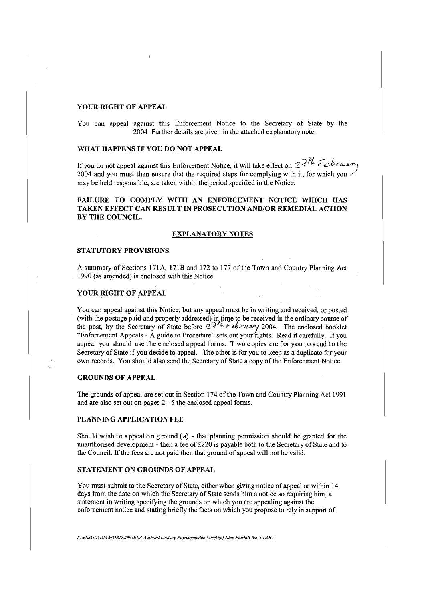#### **YOUR RIGHT OF APPEAL**

You can appeal against this Enforcement Notice to the Secretary of State by the 2004. Further details are given in the attached explanatory note.

### **WHAT HAPPENS IF YOU DO NOT APPEAL**

If you do not appeal against this Enforcement Notice, it will take effect on  $27<sup>th</sup>$  F<sub>2</sub> b *ruar* 2004 and you must then ensure that the required steps for complying with it, for which you may be held responsible, are taken within the period specified in the Notice.

# **FAILURE TO COMPLY WITH AN ENFORCEMENT NOTICE WHICH HAS TAKEN EFFECT CAN RESULT IN PROSECUTION AND/OR REMEDIAL ACTION BY THE COUNCIL.**

#### **EXPLANATORY NOTES**

#### **STATUTORY PROVISIONS**

A summary of Sections 171A, **l** 71B and 172 to 177 of the Town and Country Planning Act 1990 (as amended) is enclosed with this Notice.

## **YOUR RIGHT OF APPEAL**

You can appeal against this Notice, but any appeal must be in writing and received, or posted (with the postage paid and properly addressed) in time to be received in the ordinary course of the post, by the Secretary of State before  $27h$  February 2004. The enclosed booklet "Enforcement Appeals - A guide to Procedure" sets out your rights. Read it carefully. If you appeal you should use the enclosed appeal forms. T wo copies a re for you to send to the Secretary of State if you decide to appeal. The other is for you to keep as a duplicate for your own records. You should also send the Secretary of State a copy of the Enforcement Notice.

## **GROUNDS OF APPEAL**

The grounds of appeal are set out in Section 174 of the Town and Country Planning Act 1991 and are also set out on pages 2 - *5* the enclosed appeal forms.

#### **PLANNING APPLICATION FEE**

Should wish to appeal on ground (a) - that planning permission should be granted for the unauthorised development - then a fee of £220 is payable both to the Secretary of State and to the Council. If the fees are not paid then that ground of appeal will not be valid.

#### **STATEMENT ON GROUNDS OF APPEAL**

You must submit to the Secretary of State, either when giving notice of appeal or within 14 days from the date on which the Secretary of State sends him a notice so requiring him, a statement in writing specifying the grounds on which you are appealing against the enforcement notice and stating briefly the facts on which you propose to rely in support of

*S:\BSSGLADM\WORD\ANGELA\Authors\lindsay Payaneeandee\Misc\Enf Ntce Fairhill Rse I.DOC*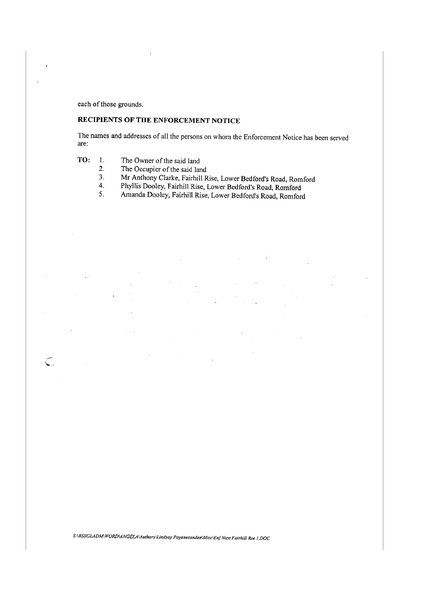each of those grounds.

سيسين.<br>مستعلما

# **RECIPIENTS OF THE ENFORCEMENT NOTICE**

The names and addresses of all the persons on whom the Enforcement Notice has been served are:

- **TO:** I. The Owner of the said land
	- 2. The Occupier of the said land
	- 3. Mr Anthony Clarke, Fairhill Rise, Lower Bedford's Road, Romford
	- 4. Phyllis Dooley, Fairhill Rise, Lower Bedford's Road, Romford
	- 5. Amanda Dooley, Fairhill Rise, Lower Bedford's Road, Romford

*S:\BSSGLADMlWORDIANGELA\Authors\Lindsay Payaneeandee\Misc\Enf Ntce Fairhi// Rse I .DOC*